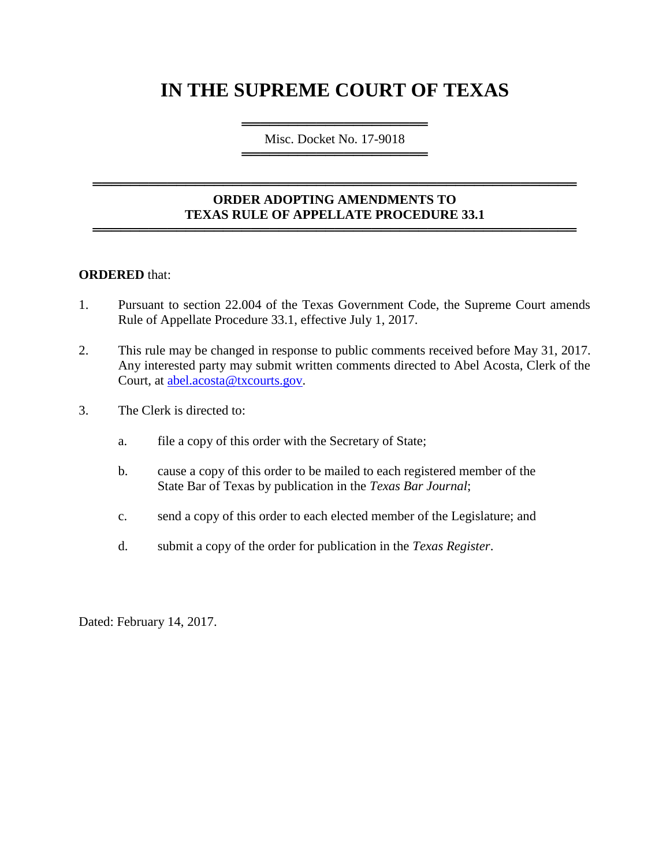# **IN THE SUPREME COURT OF TEXAS**

════════════════════════════════════ Misc. Docket No. 17-9018 ═════════════════════════════════════

### **ORDER ADOPTING AMENDMENTS TO TEXAS RULE OF APPELLATE PROCEDURE 33.1** ════════════════════════════════════════════════════

════════════════════════════════════════════════════

#### **ORDERED** that:

- 1. Pursuant to section 22.004 of the Texas Government Code, the Supreme Court amends Rule of Appellate Procedure 33.1, effective July 1, 2017.
- 2. This rule may be changed in response to public comments received before May 31, 2017. Any interested party may submit written comments directed to Abel Acosta, Clerk of the Court, at [abel.acosta@txcourts.gov.](mailto:abel.acosta@txcourts.gov)
- 3. The Clerk is directed to:
	- a. file a copy of this order with the Secretary of State;
	- b. cause a copy of this order to be mailed to each registered member of the State Bar of Texas by publication in the *Texas Bar Journal*;
	- c. send a copy of this order to each elected member of the Legislature; and
	- d. submit a copy of the order for publication in the *Texas Register*.

Dated: February 14, 2017.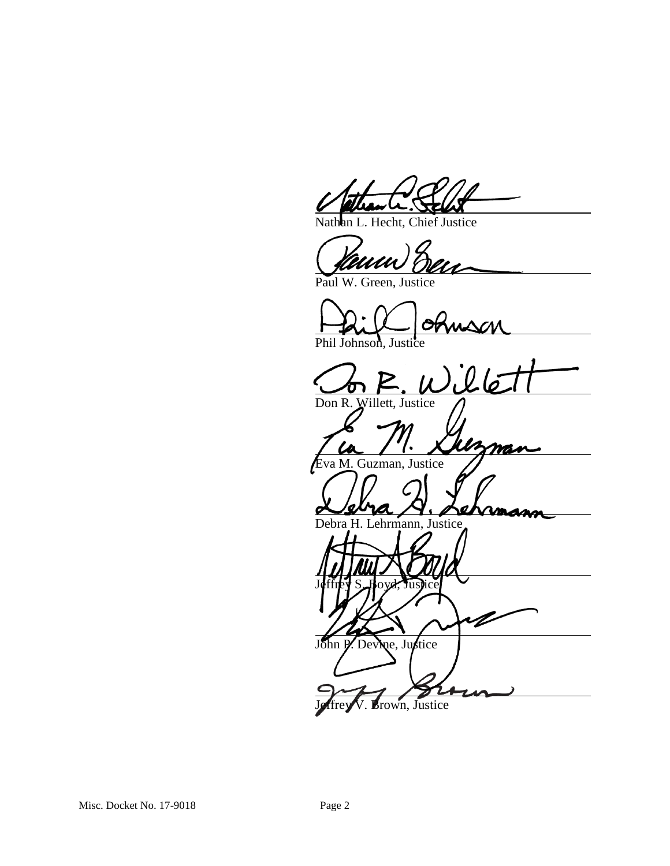Hecht, Chief Justice

Paul W. Green, Justice

Phil Johnson, Justice

nson<br>il lé Don R. Willett, Justice

va M. Guzman, Justice

Debra H. Lehrmann, Justice

Jeffrey S. Boyd, Justice

John P. Devine, Justice

Brown, Justice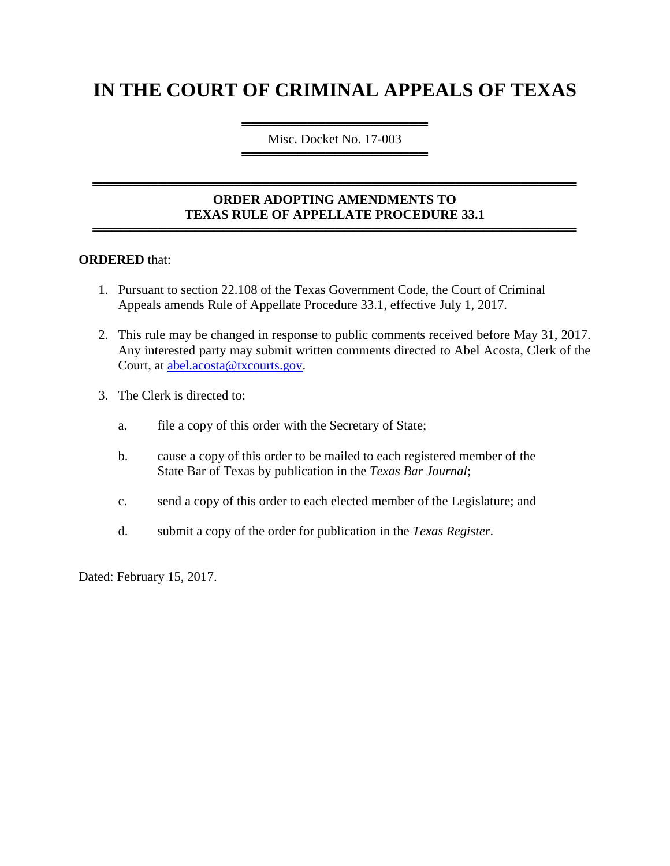# **IN THE COURT OF CRIMINAL APPEALS OF TEXAS**

════════════════════ Misc. Docket No. 17-003 ════════════════════

## **ORDER ADOPTING AMENDMENTS TO TEXAS RULE OF APPELLATE PROCEDURE 33.1**

════════════════════════════════════════════════════

════════════════════════════════════════════════════

#### **ORDERED** that:

- 1. Pursuant to section 22.108 of the Texas Government Code, the Court of Criminal Appeals amends Rule of Appellate Procedure 33.1, effective July 1, 2017.
- 2. This rule may be changed in response to public comments received before May 31, 2017. Any interested party may submit written comments directed to Abel Acosta, Clerk of the Court, at [abel.acosta@txcourts.gov.](mailto:abel.acosta@txcourts.gov)
- 3. The Clerk is directed to:
	- a. file a copy of this order with the Secretary of State;
	- b. cause a copy of this order to be mailed to each registered member of the State Bar of Texas by publication in the *Texas Bar Journal*;
	- c. send a copy of this order to each elected member of the Legislature; and
	- d. submit a copy of the order for publication in the *Texas Register*.

Dated: February 15, 2017.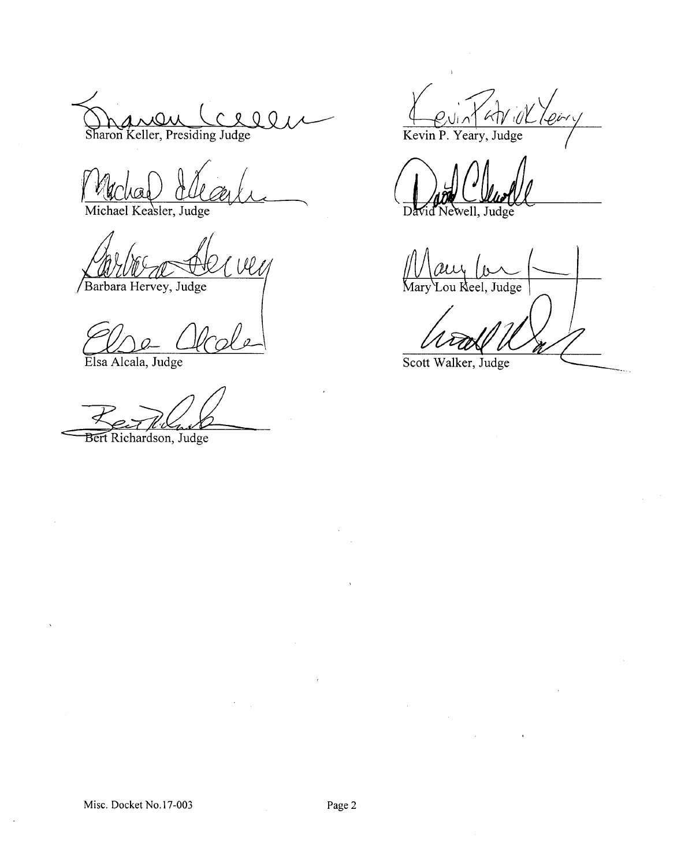$\mathfrak{o}$  $\Omega$ Sharon Keller, Presiding Judge

Michael Keasler, Judge

Well Barbara Hervey, Judge

Elsa Alcala, Judge

Bert Richardson, Judge

Revint At il Leir

Judge

Judge ou Keel.

Scott Walker, Judge